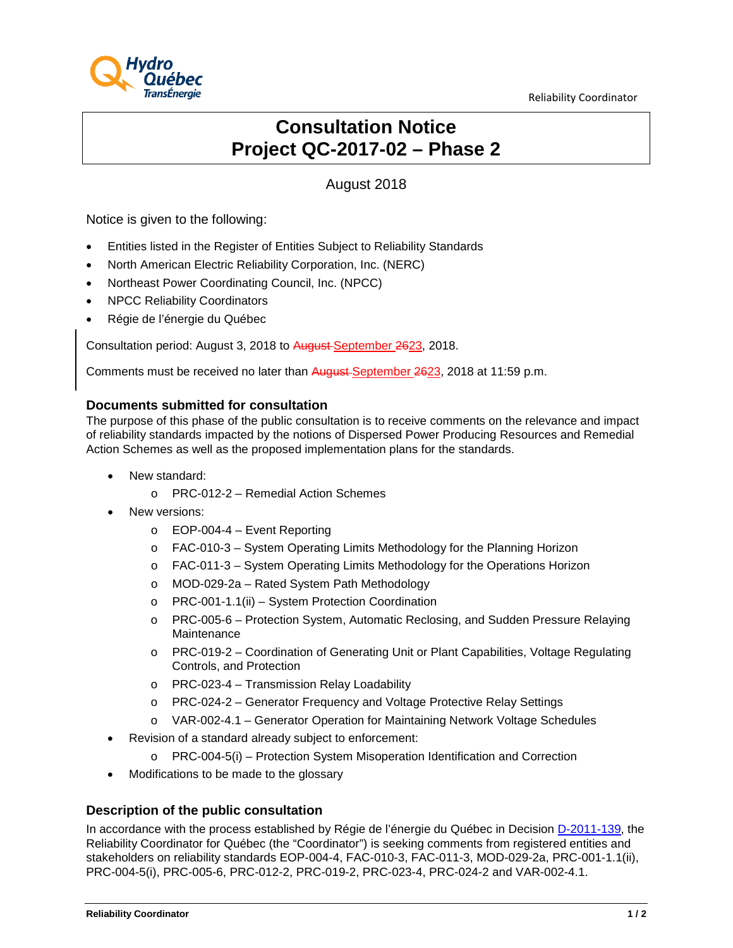Reliability Coordinator



# **Consultation Notice Project QC-2017-02 – Phase 2**

# August 2018

Notice is given to the following:

- Entities listed in the Register of Entities Subject to Reliability Standards
- North American Electric Reliability Corporation, Inc. (NERC)
- Northeast Power Coordinating Council, Inc. (NPCC)
- NPCC Reliability Coordinators
- Régie de l'énergie du Québec

Consultation period: August 3, 2018 to August September 2623, 2018.

Comments must be received no later than August September 2623, 2018 at 11:59 p.m.

#### **Documents submitted for consultation**

The purpose of this phase of the public consultation is to receive comments on the relevance and impact of reliability standards impacted by the notions of Dispersed Power Producing Resources and Remedial Action Schemes as well as the proposed implementation plans for the standards.

- New standard:
	- o PRC-012-2 Remedial Action Schemes
- New versions:
	- $\circ$  EOP-004-4 Event Reporting
	- o FAC-010-3 System Operating Limits Methodology for the Planning Horizon
	- o FAC-011-3 System Operating Limits Methodology for the Operations Horizon
	- o MOD-029-2a Rated System Path Methodology
	- o PRC-001-1.1(ii) System Protection Coordination
	- o PRC-005-6 Protection System, Automatic Reclosing, and Sudden Pressure Relaying Maintenance
	- o PRC-019-2 Coordination of Generating Unit or Plant Capabilities, Voltage Regulating Controls, and Protection
	- o PRC-023-4 Transmission Relay Loadability
	- o PRC-024-2 Generator Frequency and Voltage Protective Relay Settings
	- o VAR-002-4.1 Generator Operation for Maintaining Network Voltage Schedules
- Revision of a standard already subject to enforcement:
	- o PRC-004-5(i) Protection System Misoperation Identification and Correction
- Modifications to be made to the glossary

#### **Description of the public consultation**

In accordance with the process established by Régie de l'énergie du Québec in Decision [D-2011-139,](http://www.regie-energie.qc.ca/audiences/decisions/d-2011-139.pdf) the Reliability Coordinator for Québec (the "Coordinator") is seeking comments from registered entities and stakeholders on reliability standards EOP-004-4, FAC-010-3, FAC-011-3, MOD-029-2a, PRC-001-1.1(ii), PRC-004-5(i), PRC-005-6, PRC-012-2, PRC-019-2, PRC-023-4, PRC-024-2 and VAR-002-4.1.